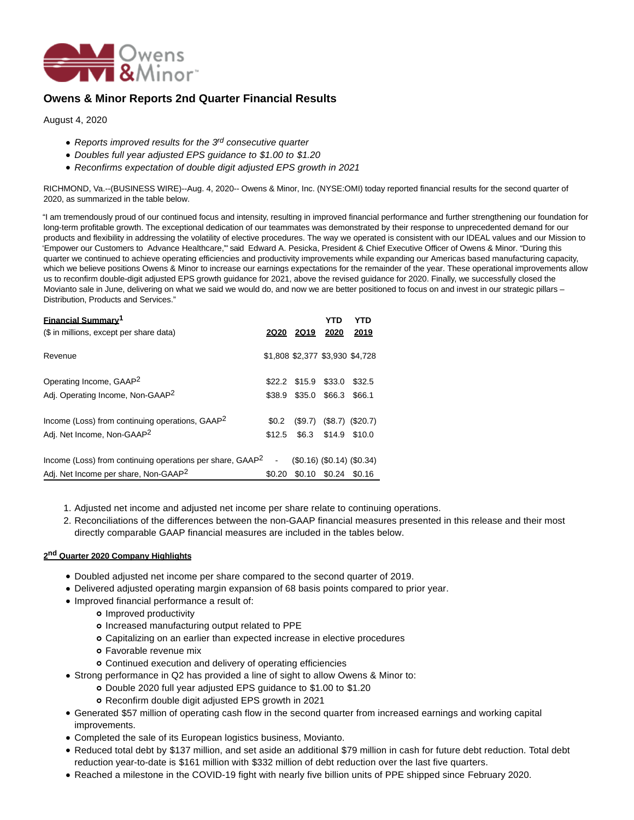

# **Owens & Minor Reports 2nd Quarter Financial Results**

August 4, 2020

- Reports improved results for the  $3<sup>rd</sup>$  consecutive quarter
- Doubles full year adjusted EPS guidance to \$1.00 to \$1.20
- Reconfirms expectation of double digit adjusted EPS growth in 2021

RICHMOND, Va.--(BUSINESS WIRE)--Aug. 4, 2020-- Owens & Minor, Inc. (NYSE:OMI) today reported financial results for the second quarter of 2020, as summarized in the table below.

"I am tremendously proud of our continued focus and intensity, resulting in improved financial performance and further strengthening our foundation for long-term profitable growth. The exceptional dedication of our teammates was demonstrated by their response to unprecedented demand for our products and flexibility in addressing the volatility of elective procedures. The way we operated is consistent with our IDEAL values and our Mission to 'Empower our Customers to Advance Healthcare,'" said Edward A. Pesicka, President & Chief Executive Officer of Owens & Minor. "During this quarter we continued to achieve operating efficiencies and productivity improvements while expanding our Americas based manufacturing capacity, which we believe positions Owens & Minor to increase our earnings expectations for the remainder of the year. These operational improvements allow us to reconfirm double-digit adjusted EPS growth guidance for 2021, above the revised guidance for 2020. Finally, we successfully closed the Movianto sale in June, delivering on what we said we would do, and now we are better positioned to focus on and invest in our strategic pillars – Distribution, Products and Services."

| <b>Financial Summary<sup>1</sup></b><br>(\$ in millions, except per share data) |         | 2Q20 2Q19 2020       | YTD                             | YTD<br>2019                   |
|---------------------------------------------------------------------------------|---------|----------------------|---------------------------------|-------------------------------|
|                                                                                 |         |                      |                                 |                               |
| Revenue                                                                         |         |                      | \$1,808 \$2,377 \$3,930 \$4,728 |                               |
| Operating Income, GAAP <sup>2</sup>                                             |         | \$22.2 \$15.9 \$33.0 |                                 | \$32.5                        |
| Adj. Operating Income, Non-GAAP <sup>2</sup>                                    | \$38.9  |                      | \$35.0 \$66.3 \$66.1            |                               |
| Income (Loss) from continuing operations, GAAP <sup>2</sup>                     | \$0.2\$ |                      | $($9.7)$ $($8.7)$ $($20.7)$     |                               |
| Adj. Net Income, Non-GAAP <sup>2</sup>                                          | \$12.5  |                      | \$6.3 \$14.9 \$10.0             |                               |
| Income (Loss) from continuing operations per share, GAAP <sup>2</sup>           |         |                      |                                 | $(S0.16)$ $(S0.14)$ $(S0.34)$ |
| Adj. Net Income per share, Non-GAAP <sup>2</sup>                                | \$0.20  |                      | \$0.10 \$0.24 \$0.16            |                               |

- 1. Adjusted net income and adjusted net income per share relate to continuing operations.
- 2. Reconciliations of the differences between the non-GAAP financial measures presented in this release and their most directly comparable GAAP financial measures are included in the tables below.

# **2 nd Quarter 2020 Company Highlights**

- Doubled adjusted net income per share compared to the second quarter of 2019.
- Delivered adjusted operating margin expansion of 68 basis points compared to prior year.
- Improved financial performance a result of:
	- o Improved productivity
	- o Increased manufacturing output related to PPE
	- Capitalizing on an earlier than expected increase in elective procedures
	- Favorable revenue mix
	- Continued execution and delivery of operating efficiencies
- Strong performance in Q2 has provided a line of sight to allow Owens & Minor to:
	- Double 2020 full year adjusted EPS guidance to \$1.00 to \$1.20
	- Reconfirm double digit adjusted EPS growth in 2021
- Generated \$57 million of operating cash flow in the second quarter from increased earnings and working capital improvements.
- Completed the sale of its European logistics business, Movianto.
- Reduced total debt by \$137 million, and set aside an additional \$79 million in cash for future debt reduction. Total debt reduction year-to-date is \$161 million with \$332 million of debt reduction over the last five quarters.
- Reached a milestone in the COVID-19 fight with nearly five billion units of PPE shipped since February 2020.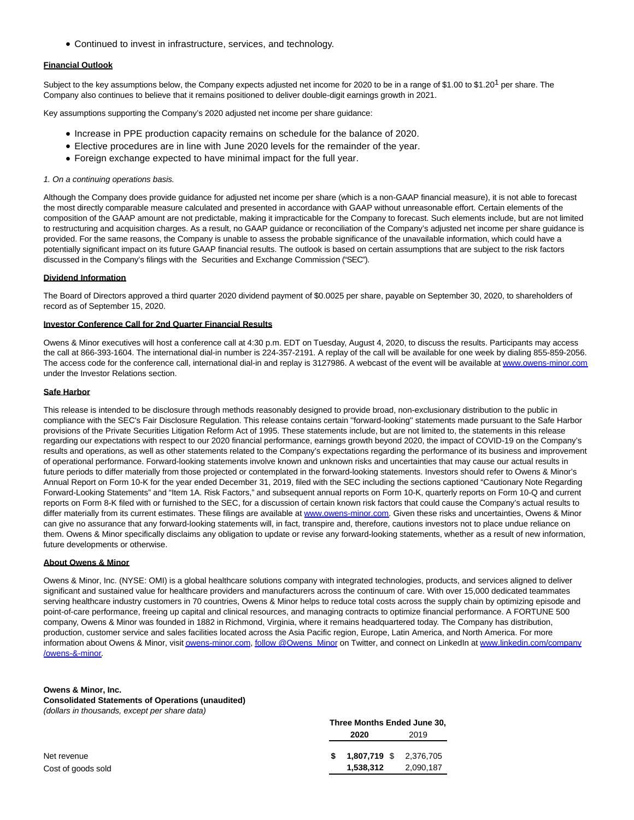Continued to invest in infrastructure, services, and technology.

# **Financial Outlook**

Subject to the key assumptions below, the Company expects adjusted net income for 2020 to be in a range of \$1.00 to \$1.20<sup>1</sup> per share. The Company also continues to believe that it remains positioned to deliver double-digit earnings growth in 2021.

Key assumptions supporting the Company's 2020 adjusted net income per share guidance:

- Increase in PPE production capacity remains on schedule for the balance of 2020.
- Elective procedures are in line with June 2020 levels for the remainder of the year.
- Foreign exchange expected to have minimal impact for the full year.

#### 1. On a continuing operations basis.

Although the Company does provide guidance for adjusted net income per share (which is a non-GAAP financial measure), it is not able to forecast the most directly comparable measure calculated and presented in accordance with GAAP without unreasonable effort. Certain elements of the composition of the GAAP amount are not predictable, making it impracticable for the Company to forecast. Such elements include, but are not limited to restructuring and acquisition charges. As a result, no GAAP guidance or reconciliation of the Company's adjusted net income per share guidance is provided. For the same reasons, the Company is unable to assess the probable significance of the unavailable information, which could have a potentially significant impact on its future GAAP financial results. The outlook is based on certain assumptions that are subject to the risk factors discussed in the Company's filings with the Securities and Exchange Commission ("SEC").

#### **Dividend Information**

The Board of Directors approved a third quarter 2020 dividend payment of \$0.0025 per share, payable on September 30, 2020, to shareholders of record as of September 15, 2020.

# **Investor Conference Call for 2nd Quarter Financial Results**

Owens & Minor executives will host a conference call at 4:30 p.m. EDT on Tuesday, August 4, 2020, to discuss the results. Participants may access the call at 866-393-1604. The international dial-in number is 224-357-2191. A replay of the call will be available for one week by dialing 855-859-2056. The access code for the conference call, international dial-in and replay is 3127986. A webcast of the event will be available at [www.owens-minor.com](https://cts.businesswire.com/ct/CT?id=smartlink&url=http%3A%2F%2Fwww.owens-minor.com&esheet=52260696&newsitemid=20200804005881&lan=en-US&anchor=www.owens-minor.com&index=1&md5=bd12b5e62f4e3ddafaca4cca563eefa8) under the Investor Relations section.

#### **Safe Harbor**

This release is intended to be disclosure through methods reasonably designed to provide broad, non-exclusionary distribution to the public in compliance with the SEC's Fair Disclosure Regulation. This release contains certain ''forward-looking'' statements made pursuant to the Safe Harbor provisions of the Private Securities Litigation Reform Act of 1995. These statements include, but are not limited to, the statements in this release regarding our expectations with respect to our 2020 financial performance, earnings growth beyond 2020, the impact of COVID-19 on the Company's results and operations, as well as other statements related to the Company's expectations regarding the performance of its business and improvement of operational performance. Forward-looking statements involve known and unknown risks and uncertainties that may cause our actual results in future periods to differ materially from those projected or contemplated in the forward-looking statements. Investors should refer to Owens & Minor's Annual Report on Form 10-K for the year ended December 31, 2019, filed with the SEC including the sections captioned "Cautionary Note Regarding Forward-Looking Statements" and "Item 1A. Risk Factors," and subsequent annual reports on Form 10-K, quarterly reports on Form 10-Q and current reports on Form 8-K filed with or furnished to the SEC, for a discussion of certain known risk factors that could cause the Company's actual results to differ materially from its current estimates. These filings are available at [www.owens-minor.com.](https://cts.businesswire.com/ct/CT?id=smartlink&url=http%3A%2F%2Fwww.owens-minor.com&esheet=52260696&newsitemid=20200804005881&lan=en-US&anchor=www.owens-minor.com&index=2&md5=f8c8755df7b816fbf237a733c06ce9d1) Given these risks and uncertainties, Owens & Minor can give no assurance that any forward-looking statements will, in fact, transpire and, therefore, cautions investors not to place undue reliance on them. Owens & Minor specifically disclaims any obligation to update or revise any forward-looking statements, whether as a result of new information, future developments or otherwise.

#### **About Owens & Minor**

Owens & Minor, Inc. (NYSE: OMI) is a global healthcare solutions company with integrated technologies, products, and services aligned to deliver significant and sustained value for healthcare providers and manufacturers across the continuum of care. With over 15,000 dedicated teammates serving healthcare industry customers in 70 countries, Owens & Minor helps to reduce total costs across the supply chain by optimizing episode and point-of-care performance, freeing up capital and clinical resources, and managing contracts to optimize financial performance. A FORTUNE 500 company, Owens & Minor was founded in 1882 in Richmond, Virginia, where it remains headquartered today. The Company has distribution, production, customer service and sales facilities located across the Asia Pacific region, Europe, Latin America, and North America. For more information about Owens & Minor, visi[t owens-minor.com,](https://cts.businesswire.com/ct/CT?id=smartlink&url=http%3A%2F%2Fowens-minor.com&esheet=52260696&newsitemid=20200804005881&lan=en-US&anchor=owens-minor.com&index=3&md5=fe001835f5c9ca6443611357a6a78479) [follow @Owens\\_Minor o](https://cts.businesswire.com/ct/CT?id=smartlink&url=https%3A%2F%2Ftwitter.com%2FOwens_Minor&esheet=52260696&newsitemid=20200804005881&lan=en-US&anchor=follow+%40Owens_Minor&index=4&md5=333f1f04a85056fa7a622f1b3180e02f)n Twitter, and connect on LinkedIn at [www.linkedin.com/company](https://cts.businesswire.com/ct/CT?id=smartlink&url=http%3A%2F%2Fwww.linkedin.com%2Fcompany%2Fowens-%26-minor&esheet=52260696&newsitemid=20200804005881&lan=en-US&anchor=www.linkedin.com%2Fcompany%2Fowens-%26amp%3B-minor&index=5&md5=f3fecc0f1dee7c3ec370c04353a1e93e) /owens-&-minor.

**Three Months Ended June 30,**

#### **Owens & Minor, Inc.**

**Consolidated Statements of Operations (unaudited)** (dollars in thousands, except per share data)

|                    | Three Months Ended June 30, |           |  |  |
|--------------------|-----------------------------|-----------|--|--|
|                    | 2020                        | 2019      |  |  |
| Net revenue        | $$1,807,719$ \$ 2,376,705   |           |  |  |
| Cost of goods sold | 1.538.312                   | 2,090,187 |  |  |
|                    |                             |           |  |  |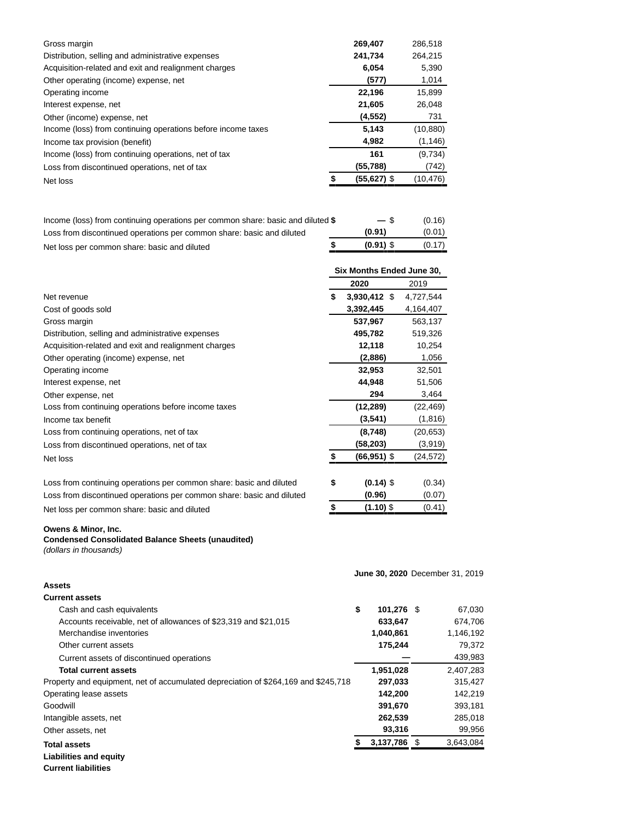| Gross margin                                                 | 269,407     | 286.518   |
|--------------------------------------------------------------|-------------|-----------|
| Distribution, selling and administrative expenses            | 241,734     | 264,215   |
| Acquisition-related and exit and realignment charges         | 6,054       | 5,390     |
| Other operating (income) expense, net                        | (577)       | 1,014     |
| Operating income                                             | 22,196      | 15.899    |
| Interest expense, net                                        | 21,605      | 26,048    |
| Other (income) expense, net                                  | (4, 552)    | 731       |
| Income (loss) from continuing operations before income taxes | 5,143       | (10, 880) |
| Income tax provision (benefit)                               | 4,982       | (1, 146)  |
| Income (loss) from continuing operations, net of tax         | 161         | (9,734)   |
| Loss from discontinued operations, net of tax                | (55,788)    | (742)     |
| Net loss                                                     | (55,627) \$ | (10, 476) |

| Income (loss) from continuing operations per common share: basic and diluted \$ | $-$ \$      | (0.16) |
|---------------------------------------------------------------------------------|-------------|--------|
| Loss from discontinued operations per common share: basic and diluted           | (0.91)      | (0.01) |
| Net loss per common share: basic and diluted                                    | $(0.91)$ \$ | (0.17) |

|                                                                       | Six Months Ended June 30, |                |           |  |  |
|-----------------------------------------------------------------------|---------------------------|----------------|-----------|--|--|
|                                                                       |                           | 2020           | 2019      |  |  |
| Net revenue                                                           | \$                        | $3,930,412$ \$ | 4,727,544 |  |  |
| Cost of goods sold                                                    |                           | 3,392,445      | 4,164,407 |  |  |
| Gross margin                                                          |                           | 537,967        | 563,137   |  |  |
| Distribution, selling and administrative expenses                     |                           | 495,782        | 519,326   |  |  |
| Acquisition-related and exit and realignment charges                  |                           | 12,118         | 10,254    |  |  |
| Other operating (income) expense, net                                 |                           | (2,886)        | 1,056     |  |  |
| Operating income                                                      |                           | 32,953         | 32,501    |  |  |
| Interest expense, net                                                 |                           | 44,948         | 51,506    |  |  |
| Other expense, net                                                    |                           | 294            | 3,464     |  |  |
| Loss from continuing operations before income taxes                   |                           | (12, 289)      | (22, 469) |  |  |
| Income tax benefit                                                    |                           | (3,541)        | (1,816)   |  |  |
| Loss from continuing operations, net of tax                           |                           | (8,748)        | (20, 653) |  |  |
| Loss from discontinued operations, net of tax                         |                           | (58,203)       | (3,919)   |  |  |
| Net loss                                                              | \$                        | $(66, 951)$ \$ | (24,572)  |  |  |
| Loss from continuing operations per common share: basic and diluted   | \$                        | $(0.14)$ \$    | (0.34)    |  |  |
| Loss from discontinued operations per common share: basic and diluted |                           | (0.96)         | (0.07)    |  |  |
| Net loss per common share: basic and diluted                          | \$                        | $(1.10)$ \$    | (0.41)    |  |  |

Net loss per common share: basic and diluted **\$** (1.10) \$ (1.10)

# **Owens & Minor, Inc.**

# **Condensed Consolidated Balance Sheets (unaudited)** (dollars in thousands)

|                                                                                    |    | June 30, 2020 December 31, 2019 |  |           |
|------------------------------------------------------------------------------------|----|---------------------------------|--|-----------|
| Assets                                                                             |    |                                 |  |           |
| <b>Current assets</b>                                                              |    |                                 |  |           |
| Cash and cash equivalents                                                          | \$ | 101,276 \$                      |  | 67,030    |
| Accounts receivable, net of allowances of \$23,319 and \$21,015                    |    | 633,647                         |  | 674,706   |
| Merchandise inventories                                                            |    | 1,040,861                       |  | 1,146,192 |
| Other current assets                                                               |    | 175,244                         |  | 79,372    |
| Current assets of discontinued operations                                          |    |                                 |  | 439,983   |
| <b>Total current assets</b>                                                        |    | 1,951,028                       |  | 2,407,283 |
| Property and equipment, net of accumulated depreciation of \$264,169 and \$245,718 |    | 297,033                         |  | 315,427   |
| Operating lease assets                                                             |    | 142,200                         |  | 142,219   |
| Goodwill                                                                           |    | 391,670                         |  | 393,181   |
| Intangible assets, net                                                             |    | 262,539                         |  | 285,018   |
| Other assets, net                                                                  |    | 93,316                          |  | 99,956    |
| <b>Total assets</b>                                                                |    | 3,137,786 \$                    |  | 3,643,084 |
| <b>Liabilities and equity</b>                                                      |    |                                 |  |           |

**Current liabilities**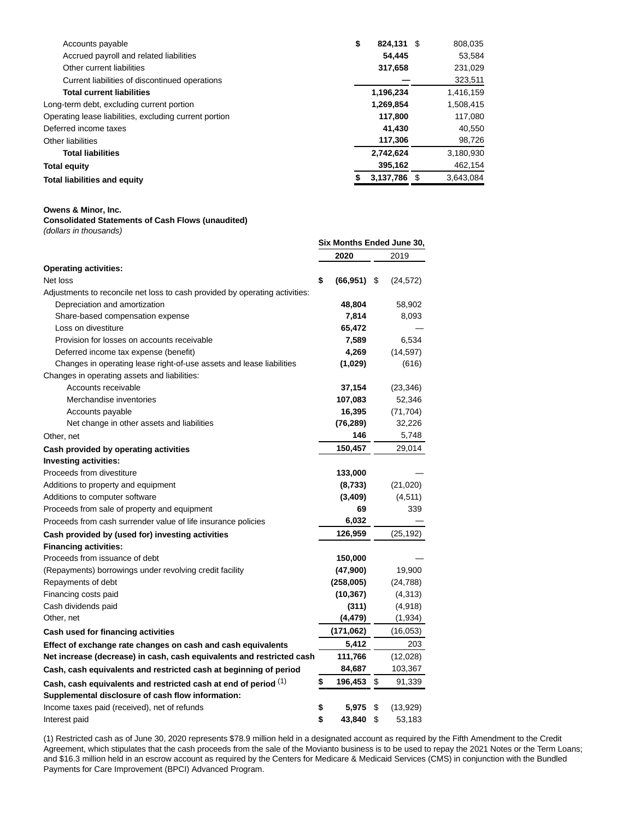| Accounts payable                                       | \$<br>824.131 \$ | 808,035   |
|--------------------------------------------------------|------------------|-----------|
| Accrued payroll and related liabilities                | 54.445           | 53.584    |
| Other current liabilities                              | 317,658          | 231,029   |
| Current liabilities of discontinued operations         |                  | 323,511   |
| <b>Total current liabilities</b>                       | 1,196,234        | 1,416,159 |
| Long-term debt, excluding current portion              | 1,269,854        | 1,508,415 |
| Operating lease liabilities, excluding current portion | 117,800          | 117,080   |
| Deferred income taxes                                  | 41,430           | 40,550    |
| Other liabilities                                      | 117,306          | 98,726    |
| <b>Total liabilities</b>                               | 2,742,624        | 3,180,930 |
| Total equity                                           | 395,162          | 462,154   |
| Total liabilities and equity                           | 3,137,786 \$     | 3,643,084 |
|                                                        |                  |           |

#### **Owens & Minor, Inc.**

# **Consolidated Statements of Cash Flows (unaudited)** (dollars in thousands)

|                                                                             | Six Months Ended June 30, |                |    |           |
|-----------------------------------------------------------------------------|---------------------------|----------------|----|-----------|
|                                                                             |                           | 2020           |    | 2019      |
| <b>Operating activities:</b>                                                |                           |                |    |           |
| Net loss                                                                    | \$                        | $(66, 951)$ \$ |    | (24, 572) |
| Adjustments to reconcile net loss to cash provided by operating activities: |                           |                |    |           |
| Depreciation and amortization                                               |                           | 48,804         |    | 58,902    |
| Share-based compensation expense                                            |                           | 7,814          |    | 8,093     |
| Loss on divestiture                                                         |                           | 65,472         |    |           |
| Provision for losses on accounts receivable                                 |                           | 7,589          |    | 6,534     |
| Deferred income tax expense (benefit)                                       |                           | 4,269          |    | (14, 597) |
| Changes in operating lease right-of-use assets and lease liabilities        |                           | (1,029)        |    | (616)     |
| Changes in operating assets and liabilities:                                |                           |                |    |           |
| Accounts receivable                                                         |                           | 37,154         |    | (23, 346) |
| Merchandise inventories                                                     |                           | 107,083        |    | 52,346    |
| Accounts payable                                                            |                           | 16,395         |    | (71, 704) |
| Net change in other assets and liabilities                                  |                           | (76, 289)      |    | 32,226    |
| Other, net                                                                  |                           | 146            |    | 5,748     |
| Cash provided by operating activities                                       |                           | 150,457        |    | 29,014    |
| <b>Investing activities:</b>                                                |                           |                |    |           |
| Proceeds from divestiture                                                   |                           | 133,000        |    |           |
| Additions to property and equipment                                         |                           | (8,733)        |    | (21, 020) |
| Additions to computer software                                              |                           | (3,409)        |    | (4, 511)  |
| Proceeds from sale of property and equipment                                |                           | 69             |    | 339       |
| Proceeds from cash surrender value of life insurance policies               |                           | 6,032          |    |           |
| Cash provided by (used for) investing activities                            |                           | 126,959        |    | (25, 192) |
| <b>Financing activities:</b>                                                |                           |                |    |           |
| Proceeds from issuance of debt                                              |                           | 150,000        |    |           |
| (Repayments) borrowings under revolving credit facility                     |                           | (47,900)       |    | 19,900    |
| Repayments of debt                                                          |                           | (258,005)      |    | (24, 788) |
| Financing costs paid                                                        |                           | (10, 367)      |    | (4,313)   |
| Cash dividends paid                                                         |                           | (311)          |    | (4,918)   |
| Other, net                                                                  |                           | (4, 479)       |    | (1,934)   |
| Cash used for financing activities                                          |                           | (171,062)      |    | (16, 053) |
| Effect of exchange rate changes on cash and cash equivalents                |                           | 5,412          |    | 203       |
| Net increase (decrease) in cash, cash equivalents and restricted cash       |                           | 111,766        |    | (12,028)  |
| Cash, cash equivalents and restricted cash at beginning of period           |                           | 84,687         |    | 103,367   |
| Cash, cash equivalents and restricted cash at end of period (1)             | \$                        | 196,453 \$     |    | 91,339    |
| Supplemental disclosure of cash flow information:                           |                           |                |    |           |
| Income taxes paid (received), net of refunds                                | \$                        | 5,975          | \$ | (13, 929) |
| Interest paid                                                               | \$                        | 43,840         | \$ | 53,183    |

(1) Restricted cash as of June 30, 2020 represents \$78.9 million held in a designated account as required by the Fifth Amendment to the Credit Agreement, which stipulates that the cash proceeds from the sale of the Movianto business is to be used to repay the 2021 Notes or the Term Loans; and \$16.3 million held in an escrow account as required by the Centers for Medicare & Medicaid Services (CMS) in conjunction with the Bundled Payments for Care Improvement (BPCI) Advanced Program.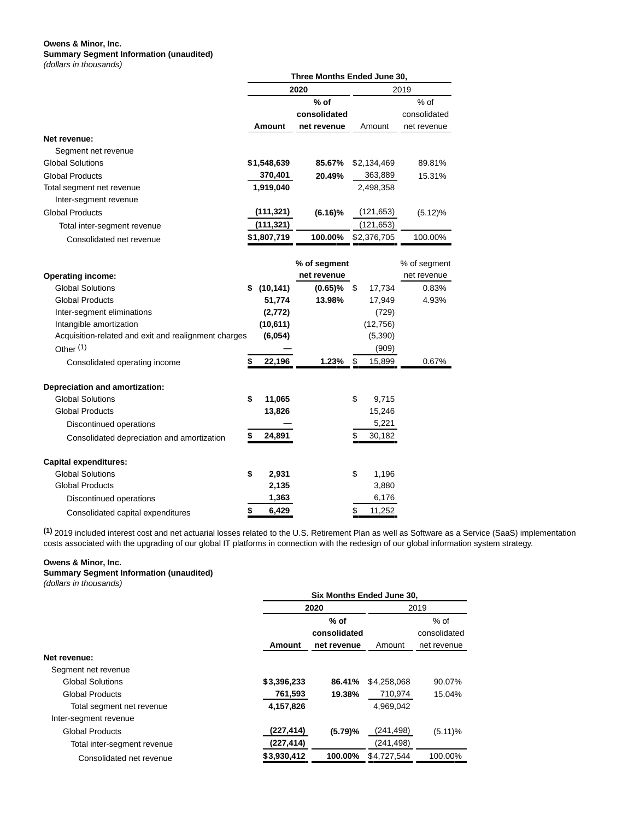### **Owens & Minor, Inc. Summary Segment Information (unaudited)** (dollars in thousands)

|                                                      | Three Months Ended June 30, |             |              |      |             |              |  |
|------------------------------------------------------|-----------------------------|-------------|--------------|------|-------------|--------------|--|
|                                                      |                             |             | 2020         | 2019 |             |              |  |
|                                                      |                             |             | $%$ of       |      |             | % of         |  |
|                                                      |                             |             | consolidated |      |             | consolidated |  |
|                                                      |                             | Amount      | net revenue  |      | Amount      | net revenue  |  |
| Net revenue:                                         |                             |             |              |      |             |              |  |
| Segment net revenue                                  |                             |             |              |      |             |              |  |
| <b>Global Solutions</b>                              |                             | \$1,548,639 | 85.67%       |      | \$2,134,469 | 89.81%       |  |
| <b>Global Products</b>                               |                             | 370,401     | 20.49%       |      | 363,889     | 15.31%       |  |
| Total segment net revenue                            |                             | 1,919,040   |              |      | 2,498,358   |              |  |
| Inter-segment revenue                                |                             |             |              |      |             |              |  |
| <b>Global Products</b>                               |                             | (111,321)   | $(6.16)\%$   |      | (121, 653)  | (5.12)%      |  |
| Total inter-segment revenue                          |                             | (111, 321)  |              |      | (121, 653)  |              |  |
| Consolidated net revenue                             |                             | \$1,807,719 | 100.00%      |      | \$2,376,705 | 100.00%      |  |
|                                                      |                             |             |              |      |             |              |  |
|                                                      |                             |             | % of segment |      |             | % of segment |  |
| <b>Operating income:</b>                             |                             |             | net revenue  |      |             | net revenue  |  |
| <b>Global Solutions</b>                              |                             | \$(10, 141) | $(0.65)\%$   | \$   | 17,734      | 0.83%        |  |
| <b>Global Products</b>                               |                             | 51,774      | 13.98%       |      | 17,949      | 4.93%        |  |
| Inter-segment eliminations                           |                             | (2, 772)    |              |      | (729)       |              |  |
| Intangible amortization                              |                             | (10, 611)   |              |      | (12,756)    |              |  |
| Acquisition-related and exit and realignment charges |                             | (6,054)     |              |      | (5,390)     |              |  |
| Other $(1)$                                          |                             |             |              |      | (909)       |              |  |
| Consolidated operating income                        |                             | 22,196      | 1.23%        | \$   | 15,899      | 0.67%        |  |
| <b>Depreciation and amortization:</b>                |                             |             |              |      |             |              |  |
| <b>Global Solutions</b>                              | \$                          | 11,065      |              | \$   | 9,715       |              |  |
| <b>Global Products</b>                               |                             | 13,826      |              |      | 15,246      |              |  |
| Discontinued operations                              |                             |             |              |      | 5,221       |              |  |
| Consolidated depreciation and amortization           | \$                          | 24,891      |              | \$   | 30,182      |              |  |
| <b>Capital expenditures:</b>                         |                             |             |              |      |             |              |  |
| <b>Global Solutions</b>                              | \$                          | 2,931       |              | \$   | 1,196       |              |  |
| <b>Global Products</b>                               |                             | 2,135       |              |      | 3,880       |              |  |
| Discontinued operations                              |                             | 1,363       |              |      | 6,176       |              |  |
| Consolidated capital expenditures                    | \$                          | 6,429       |              | \$   | 11,252      |              |  |

**(1)** 2019 included interest cost and net actuarial losses related to the U.S. Retirement Plan as well as Software as a Service (SaaS) implementation costs associated with the upgrading of our global IT platforms in connection with the redesign of our global information system strategy.

#### **Owens & Minor, Inc.**

**Summary Segment Information (unaudited)** (dollars in thousands)

|                             |             | Six Months Ended June 30, |             |              |  |  |  |  |  |
|-----------------------------|-------------|---------------------------|-------------|--------------|--|--|--|--|--|
|                             |             | 2020                      |             | 2019         |  |  |  |  |  |
|                             |             | $%$ of                    |             | $%$ of       |  |  |  |  |  |
|                             |             | consolidated              |             | consolidated |  |  |  |  |  |
|                             | Amount      | net revenue               | Amount      | net revenue  |  |  |  |  |  |
| Net revenue:                |             |                           |             |              |  |  |  |  |  |
| Segment net revenue         |             |                           |             |              |  |  |  |  |  |
| <b>Global Solutions</b>     | \$3,396,233 | 86.41%                    | \$4,258,068 | 90.07%       |  |  |  |  |  |
| <b>Global Products</b>      | 761,593     | 19.38%                    | 710,974     | 15.04%       |  |  |  |  |  |
| Total segment net revenue   | 4,157,826   |                           | 4,969,042   |              |  |  |  |  |  |
| Inter-segment revenue       |             |                           |             |              |  |  |  |  |  |
| <b>Global Products</b>      | (227, 414)  | (5.79)%                   | (241, 498)  | $(5.11)\%$   |  |  |  |  |  |
| Total inter-segment revenue | (227, 414)  |                           | (241, 498)  |              |  |  |  |  |  |
| Consolidated net revenue    | \$3,930,412 | 100.00%                   | \$4,727,544 | 100.00%      |  |  |  |  |  |
|                             |             |                           |             |              |  |  |  |  |  |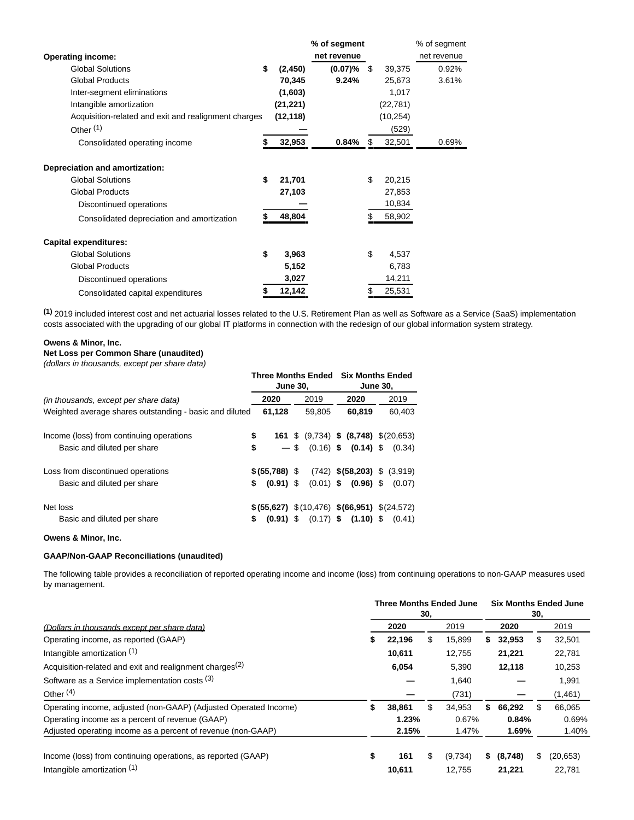|                                                      |                | % of segment |              | % of segment |
|------------------------------------------------------|----------------|--------------|--------------|--------------|
| <b>Operating income:</b>                             |                | net revenue  |              | net revenue  |
| <b>Global Solutions</b>                              | \$<br>(2, 450) | (0.07)%      | \$<br>39,375 | 0.92%        |
| <b>Global Products</b>                               | 70,345         | 9.24%        | 25,673       | 3.61%        |
| Inter-segment eliminations                           | (1,603)        |              | 1,017        |              |
| Intangible amortization                              | (21, 221)      |              | (22, 781)    |              |
| Acquisition-related and exit and realignment charges | (12, 118)      |              | (10, 254)    |              |
| Other <sup>(1)</sup>                                 |                |              | (529)        |              |
| Consolidated operating income                        | 32,953         | 0.84%        | 32,501       | 0.69%        |
| Depreciation and amortization:                       |                |              |              |              |
| <b>Global Solutions</b>                              | \$<br>21,701   |              | \$<br>20,215 |              |
| <b>Global Products</b>                               | 27,103         |              | 27,853       |              |
| Discontinued operations                              |                |              | 10,834       |              |
| Consolidated depreciation and amortization           | 48,804         |              | 58,902       |              |
| <b>Capital expenditures:</b>                         |                |              |              |              |
| <b>Global Solutions</b>                              | \$<br>3,963    |              | \$<br>4,537  |              |
| <b>Global Products</b>                               | 5,152          |              | 6,783        |              |
| Discontinued operations                              | 3,027          |              | 14,211       |              |
| Consolidated capital expenditures                    | 12,142         |              | \$<br>25,531 |              |
|                                                      |                |              |              |              |

**(1)** 2019 included interest cost and net actuarial losses related to the U.S. Retirement Plan as well as Software as a Service (SaaS) implementation costs associated with the upgrading of our global IT platforms in connection with the redesign of our global information system strategy.

### **Owens & Minor, Inc.**

**Net Loss per Common Share (unaudited)**

(dollars in thousands, except per share data)

|                                                         | <b>June 30,</b>   | Three Months Ended                                                   | <b>Six Months Ended</b><br><b>June 30,</b> |                                 |  |        |  |
|---------------------------------------------------------|-------------------|----------------------------------------------------------------------|--------------------------------------------|---------------------------------|--|--------|--|
| (in thousands, except per share data)                   | 2020              | 2019                                                                 |                                            | 2020                            |  | 2019   |  |
| Weighted average shares outstanding - basic and diluted | 61,128            | 59.805                                                               |                                            | 60.819                          |  | 60.403 |  |
| Income (loss) from continuing operations                | \$                | <b>161</b> \$ $(9,734)$ <b>\$ <math>(8,748)</math></b> \$ $(20,653)$ |                                            |                                 |  |        |  |
| Basic and diluted per share                             | \$<br>$-$ \$      | $(0.16)$ \$                                                          |                                            | $(0.14)$ \$                     |  | (0.34) |  |
| Loss from discontinued operations                       | $$ (55,788)$ \$   |                                                                      |                                            | $(742)$ \$(58,203) \$ $(3,919)$ |  |        |  |
| Basic and diluted per share                             | \$<br>$(0.91)$ \$ |                                                                      |                                            | $(0.01)$ \$ $(0.96)$ \$         |  | (0.07) |  |
| Net loss                                                |                   | $$$ (55,627) $$$ (10,476) $$$ (66,951) $$$ (24,572)                  |                                            |                                 |  |        |  |
| Basic and diluted per share                             | \$<br>$(0.91)$ \$ |                                                                      |                                            | $(0.17)$ \$ $(1.10)$ \$         |  | (0.41) |  |

#### **Owens & Minor, Inc.**

# **GAAP/Non-GAAP Reconciliations (unaudited)**

The following table provides a reconciliation of reported operating income and income (loss) from continuing operations to non-GAAP measures used by management.

| (Dollars in thousands except per share data)                        | <b>Three Months Ended June</b><br>30, |        |      |         |    | <b>Six Months Ended June</b><br>30, |    |           |  |
|---------------------------------------------------------------------|---------------------------------------|--------|------|---------|----|-------------------------------------|----|-----------|--|
|                                                                     |                                       | 2020   | 2019 |         |    | 2020                                |    | 2019      |  |
| Operating income, as reported (GAAP)                                | S                                     | 22,196 | \$.  | 15,899  |    | 32,953                              | S  | 32,501    |  |
| Intangible amortization (1)                                         |                                       | 10,611 |      | 12,755  |    | 21,221                              |    | 22,781    |  |
| Acquisition-related and exit and realignment charges <sup>(2)</sup> |                                       | 6.054  |      | 5.390   |    | 12.118                              |    | 10,253    |  |
| Software as a Service implementation costs (3)                      |                                       |        |      | 1,640   |    |                                     |    | 1,991     |  |
| Other $(4)$                                                         |                                       |        |      | (731)   |    |                                     |    | (1,461)   |  |
| Operating income, adjusted (non-GAAP) (Adjusted Operated Income)    | \$                                    | 38.861 | S    | 34.953  | S. | 66,292                              | S  | 66.065    |  |
| Operating income as a percent of revenue (GAAP)                     |                                       | 1.23%  |      | 0.67%   |    | 0.84%                               |    | 0.69%     |  |
| Adjusted operating income as a percent of revenue (non-GAAP)        |                                       | 2.15%  |      | 1.47%   |    | 1.69%                               |    | 1.40%     |  |
| Income (loss) from continuing operations, as reported (GAAP)        | \$                                    | 161    | \$   | (9,734) | s. | (8,748)                             | \$ | (20, 653) |  |
| Intangible amortization (1)                                         |                                       | 10.611 |      | 12.755  |    | 21.221                              |    | 22.781    |  |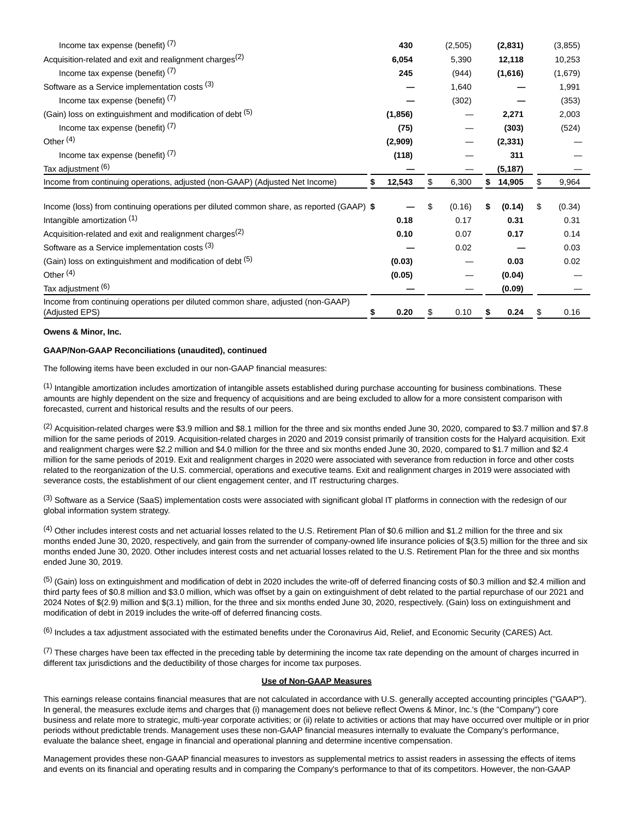| Income tax expense (benefit) $(7)$                                                                |   | 430      | (2,505)     |    | (2,831)  |     | (3, 855) |
|---------------------------------------------------------------------------------------------------|---|----------|-------------|----|----------|-----|----------|
| Acquisition-related and exit and realignment charges <sup>(2)</sup>                               |   | 6,054    | 5,390       |    | 12,118   |     | 10,253   |
| Income tax expense (benefit) $(7)$                                                                |   | 245      | (944)       |    | (1,616)  |     | (1,679)  |
| Software as a Service implementation costs (3)                                                    |   |          | 1,640       |    |          |     | 1,991    |
| Income tax expense (benefit) $(7)$                                                                |   |          | (302)       |    |          |     | (353)    |
| (Gain) loss on extinguishment and modification of debt (5)                                        |   | (1, 856) |             |    | 2,271    |     | 2,003    |
| Income tax expense (benefit) $(7)$                                                                |   | (75)     |             |    | (303)    |     | (524)    |
| Other $(4)$                                                                                       |   | (2,909)  |             |    | (2, 331) |     |          |
| Income tax expense (benefit) $(7)$                                                                |   | (118)    |             |    | 311      |     |          |
| Tax adjustment (6)                                                                                |   |          |             |    | (5, 187) |     |          |
| Income from continuing operations, adjusted (non-GAAP) (Adjusted Net Income)                      | S | 12,543   | \$<br>6,300 | S. | 14,905   | \$. | 9,964    |
|                                                                                                   |   |          |             |    |          |     |          |
| Income (loss) from continuing operations per diluted common share, as reported (GAAP) \$          |   |          | (0.16)      | S  | (0.14)   | \$  | (0.34)   |
| Intangible amortization (1)                                                                       |   | 0.18     | 0.17        |    | 0.31     |     | 0.31     |
| Acquisition-related and exit and realignment charges <sup>(2)</sup>                               |   | 0.10     | 0.07        |    | 0.17     |     | 0.14     |
| Software as a Service implementation costs (3)                                                    |   |          | 0.02        |    |          |     | 0.03     |
| (Gain) loss on extinguishment and modification of debt (5)                                        |   | (0.03)   |             |    | 0.03     |     | 0.02     |
| Other $(4)$                                                                                       |   | (0.05)   |             |    | (0.04)   |     |          |
| Tax adjustment (6)                                                                                |   |          |             |    | (0.09)   |     |          |
| Income from continuing operations per diluted common share, adjusted (non-GAAP)<br>(Adjusted EPS) |   | 0.20     | 0.10        |    | 0.24     | \$  | 0.16     |

## **Owens & Minor, Inc.**

#### **GAAP/Non-GAAP Reconciliations (unaudited), continued**

The following items have been excluded in our non-GAAP financial measures:

 $<sup>(1)</sup>$  Intangible amortization includes amortization of intangible assets established during purchase accounting for business combinations. These</sup> amounts are highly dependent on the size and frequency of acquisitions and are being excluded to allow for a more consistent comparison with forecasted, current and historical results and the results of our peers.

(2) Acquisition-related charges were \$3.9 million and \$8.1 million for the three and six months ended June 30, 2020, compared to \$3.7 million and \$7.8 million for the same periods of 2019. Acquisition-related charges in 2020 and 2019 consist primarily of transition costs for the Halyard acquisition. Exit and realignment charges were \$2.2 million and \$4.0 million for the three and six months ended June 30, 2020, compared to \$1.7 million and \$2.4 million for the same periods of 2019. Exit and realignment charges in 2020 were associated with severance from reduction in force and other costs related to the reorganization of the U.S. commercial, operations and executive teams. Exit and realignment charges in 2019 were associated with severance costs, the establishment of our client engagement center, and IT restructuring charges.

 $(3)$  Software as a Service (SaaS) implementation costs were associated with significant global IT platforms in connection with the redesign of our global information system strategy.

 $^{(4)}$  Other includes interest costs and net actuarial losses related to the U.S. Retirement Plan of \$0.6 million and \$1.2 million for the three and six months ended June 30, 2020, respectively, and gain from the surrender of company-owned life insurance policies of \$(3.5) million for the three and six months ended June 30, 2020. Other includes interest costs and net actuarial losses related to the U.S. Retirement Plan for the three and six months ended June 30, 2019.

(5) (Gain) loss on extinguishment and modification of debt in 2020 includes the write-off of deferred financing costs of \$0.3 million and \$2.4 million and third party fees of \$0.8 million and \$3.0 million, which was offset by a gain on extinguishment of debt related to the partial repurchase of our 2021 and 2024 Notes of \$(2.9) million and \$(3.1) million, for the three and six months ended June 30, 2020, respectively. (Gain) loss on extinguishment and modification of debt in 2019 includes the write-off of deferred financing costs.

(6) Includes a tax adjustment associated with the estimated benefits under the Coronavirus Aid, Relief, and Economic Security (CARES) Act.

 $(7)$  These charges have been tax effected in the preceding table by determining the income tax rate depending on the amount of charges incurred in different tax jurisdictions and the deductibility of those charges for income tax purposes.

#### **Use of Non-GAAP Measures**

This earnings release contains financial measures that are not calculated in accordance with U.S. generally accepted accounting principles ("GAAP"). In general, the measures exclude items and charges that (i) management does not believe reflect Owens & Minor, Inc.'s (the "Company") core business and relate more to strategic, multi-year corporate activities; or (ii) relate to activities or actions that may have occurred over multiple or in prior periods without predictable trends. Management uses these non-GAAP financial measures internally to evaluate the Company's performance, evaluate the balance sheet, engage in financial and operational planning and determine incentive compensation.

Management provides these non-GAAP financial measures to investors as supplemental metrics to assist readers in assessing the effects of items and events on its financial and operating results and in comparing the Company's performance to that of its competitors. However, the non-GAAP